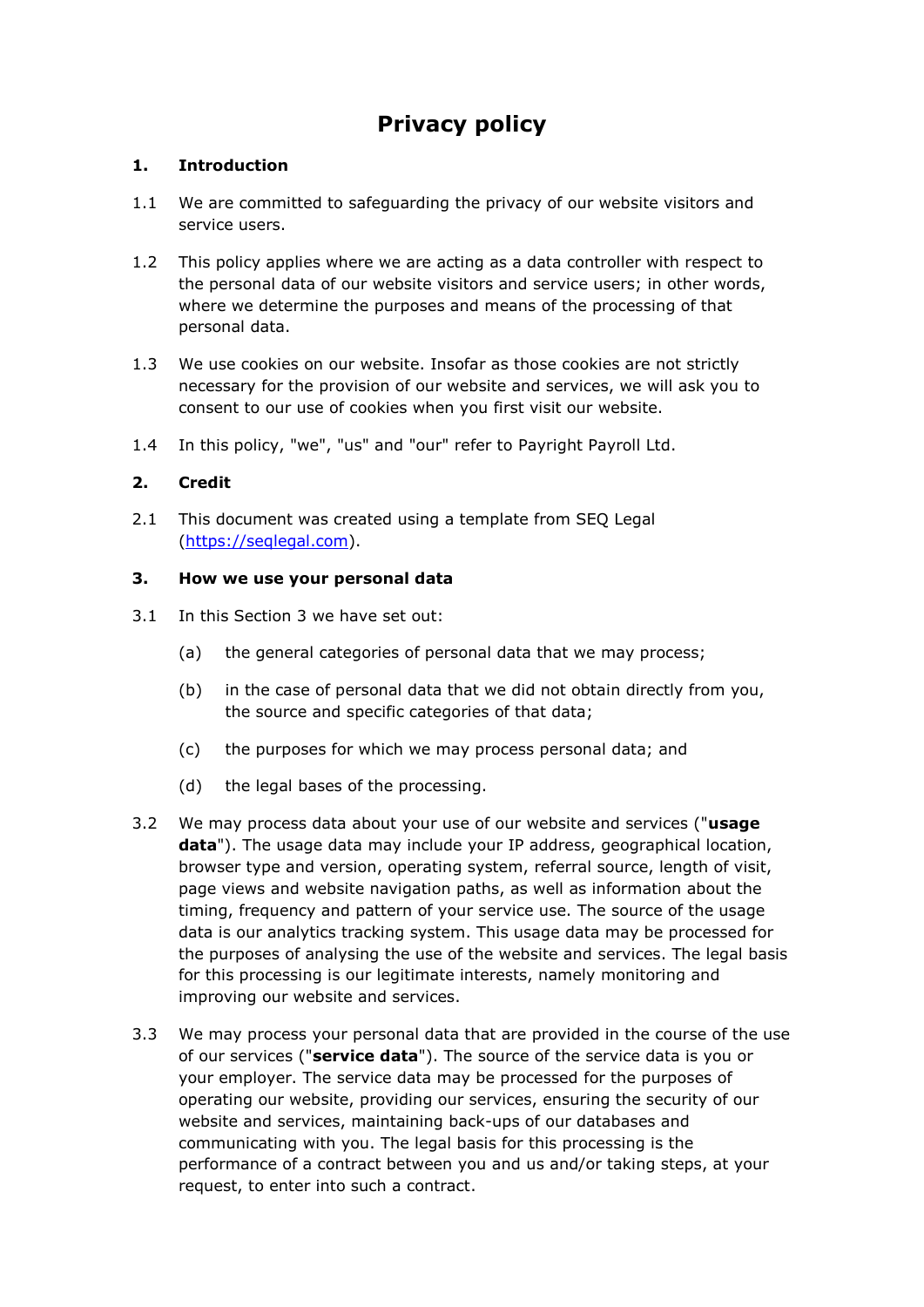# **Privacy policy**

# **1. Introduction**

- 1.1 We are committed to safeguarding the privacy of our website visitors and service users.
- 1.2 This policy applies where we are acting as a data controller with respect to the personal data of our website visitors and service users; in other words, where we determine the purposes and means of the processing of that personal data.
- 1.3 We use cookies on our website. Insofar as those cookies are not strictly necessary for the provision of our website and services, we will ask you to consent to our use of cookies when you first visit our website.
- 1.4 In this policy, "we", "us" and "our" refer to Payright Payroll Ltd.

# **2. Credit**

2.1 This document was created using a template from SEQ Legal [\(https://seqlegal.com\)](https://seqlegal.com/).

# **3. How we use your personal data**

- 3.1 In this Section 3 we have set out:
	- (a) the general categories of personal data that we may process;
	- (b) in the case of personal data that we did not obtain directly from you, the source and specific categories of that data;
	- (c) the purposes for which we may process personal data; and
	- (d) the legal bases of the processing.
- 3.2 We may process data about your use of our website and services ("**usage data**"). The usage data may include your IP address, geographical location, browser type and version, operating system, referral source, length of visit, page views and website navigation paths, as well as information about the timing, frequency and pattern of your service use. The source of the usage data is our analytics tracking system. This usage data may be processed for the purposes of analysing the use of the website and services. The legal basis for this processing is our legitimate interests, namely monitoring and improving our website and services.
- 3.3 We may process your personal data that are provided in the course of the use of our services ("**service data**"). The source of the service data is you or your employer. The service data may be processed for the purposes of operating our website, providing our services, ensuring the security of our website and services, maintaining back-ups of our databases and communicating with you. The legal basis for this processing is the performance of a contract between you and us and/or taking steps, at your request, to enter into such a contract.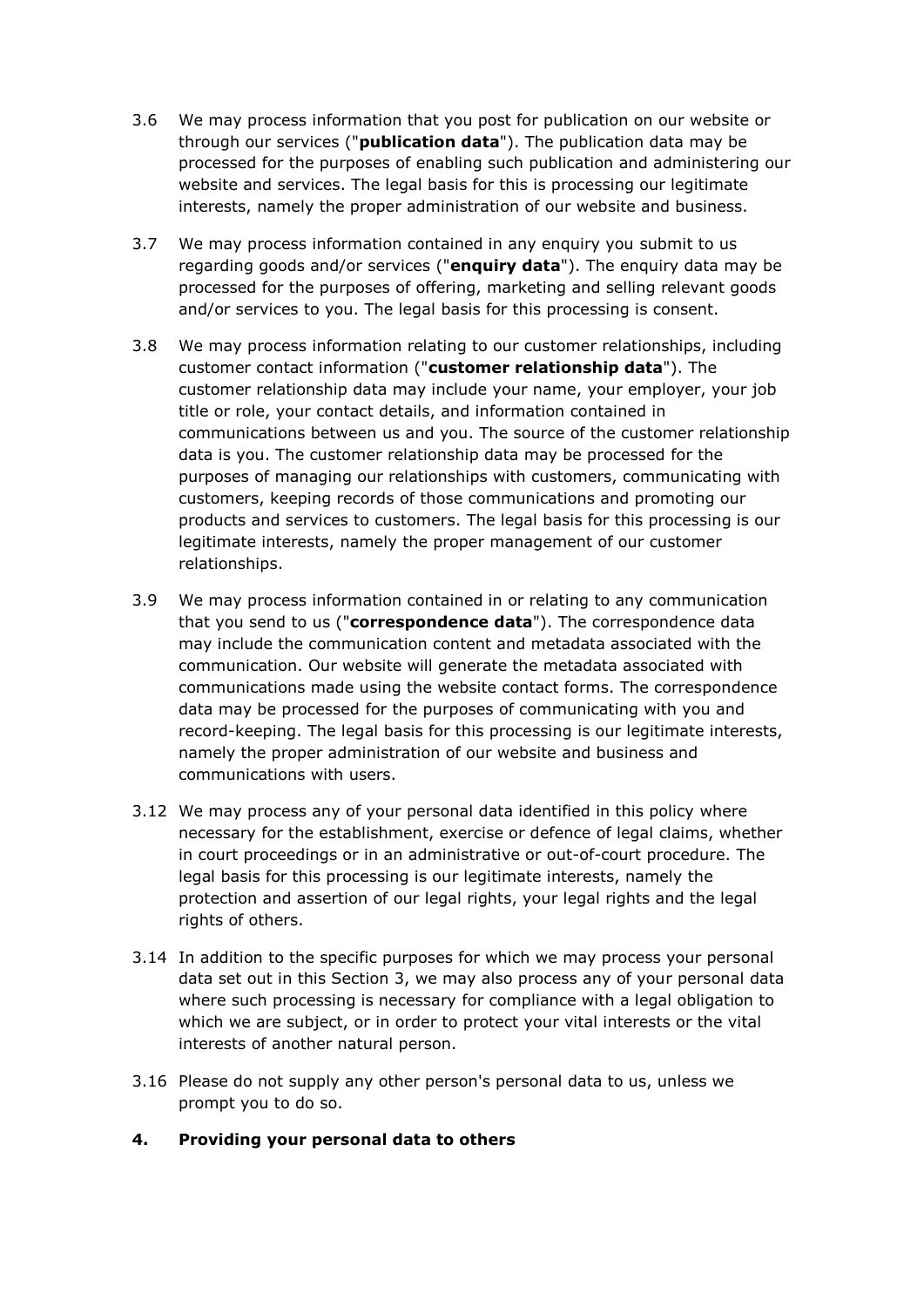- 3.6 We may process information that you post for publication on our website or through our services ("**publication data**"). The publication data may be processed for the purposes of enabling such publication and administering our website and services. The legal basis for this is processing our legitimate interests, namely the proper administration of our website and business.
- 3.7 We may process information contained in any enquiry you submit to us regarding goods and/or services ("**enquiry data**"). The enquiry data may be processed for the purposes of offering, marketing and selling relevant goods and/or services to you. The legal basis for this processing is consent.
- 3.8 We may process information relating to our customer relationships, including customer contact information ("**customer relationship data**"). The customer relationship data may include your name, your employer, your job title or role, your contact details, and information contained in communications between us and you. The source of the customer relationship data is you. The customer relationship data may be processed for the purposes of managing our relationships with customers, communicating with customers, keeping records of those communications and promoting our products and services to customers. The legal basis for this processing is our legitimate interests, namely the proper management of our customer relationships.
- 3.9 We may process information contained in or relating to any communication that you send to us ("**correspondence data**"). The correspondence data may include the communication content and metadata associated with the communication. Our website will generate the metadata associated with communications made using the website contact forms. The correspondence data may be processed for the purposes of communicating with you and record-keeping. The legal basis for this processing is our legitimate interests, namely the proper administration of our website and business and communications with users.
- 3.12 We may process any of your personal data identified in this policy where necessary for the establishment, exercise or defence of legal claims, whether in court proceedings or in an administrative or out-of-court procedure. The legal basis for this processing is our legitimate interests, namely the protection and assertion of our legal rights, your legal rights and the legal rights of others.
- 3.14 In addition to the specific purposes for which we may process your personal data set out in this Section 3, we may also process any of your personal data where such processing is necessary for compliance with a legal obligation to which we are subject, or in order to protect your vital interests or the vital interests of another natural person.
- 3.16 Please do not supply any other person's personal data to us, unless we prompt you to do so.
- **4. Providing your personal data to others**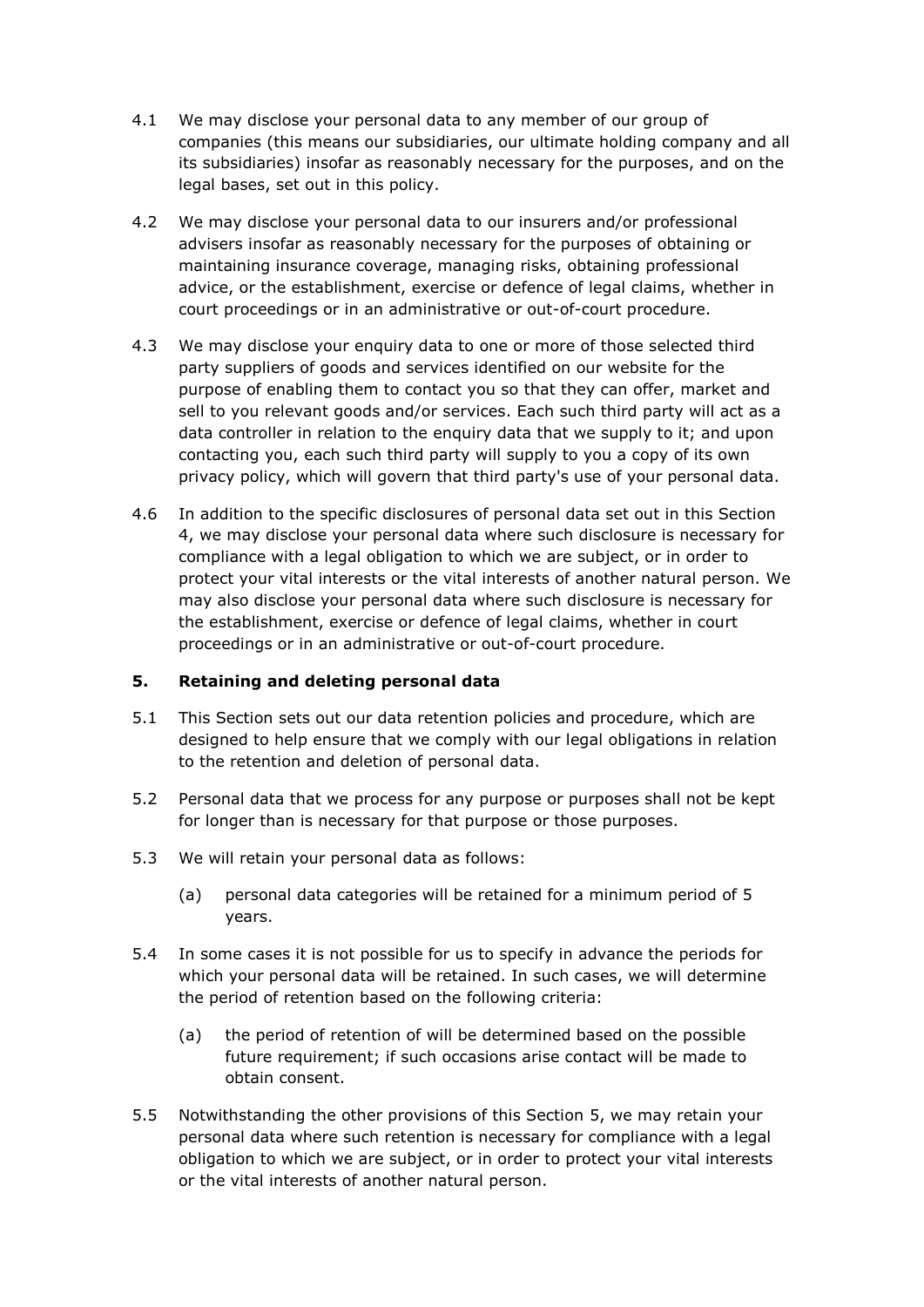- 4.1 We may disclose your personal data to any member of our group of companies (this means our subsidiaries, our ultimate holding company and all its subsidiaries) insofar as reasonably necessary for the purposes, and on the legal bases, set out in this policy.
- 4.2 We may disclose your personal data to our insurers and/or professional advisers insofar as reasonably necessary for the purposes of obtaining or maintaining insurance coverage, managing risks, obtaining professional advice, or the establishment, exercise or defence of legal claims, whether in court proceedings or in an administrative or out-of-court procedure.
- 4.3 We may disclose your enquiry data to one or more of those selected third party suppliers of goods and services identified on our website for the purpose of enabling them to contact you so that they can offer, market and sell to you relevant goods and/or services. Each such third party will act as a data controller in relation to the enquiry data that we supply to it; and upon contacting you, each such third party will supply to you a copy of its own privacy policy, which will govern that third party's use of your personal data.
- 4.6 In addition to the specific disclosures of personal data set out in this Section 4, we may disclose your personal data where such disclosure is necessary for compliance with a legal obligation to which we are subject, or in order to protect your vital interests or the vital interests of another natural person. We may also disclose your personal data where such disclosure is necessary for the establishment, exercise or defence of legal claims, whether in court proceedings or in an administrative or out-of-court procedure.

# **5. Retaining and deleting personal data**

- 5.1 This Section sets out our data retention policies and procedure, which are designed to help ensure that we comply with our legal obligations in relation to the retention and deletion of personal data.
- 5.2 Personal data that we process for any purpose or purposes shall not be kept for longer than is necessary for that purpose or those purposes.
- 5.3 We will retain your personal data as follows:
	- (a) personal data categories will be retained for a minimum period of 5 years.
- 5.4 In some cases it is not possible for us to specify in advance the periods for which your personal data will be retained. In such cases, we will determine the period of retention based on the following criteria:
	- (a) the period of retention of will be determined based on the possible future requirement; if such occasions arise contact will be made to obtain consent.
- 5.5 Notwithstanding the other provisions of this Section 5, we may retain your personal data where such retention is necessary for compliance with a legal obligation to which we are subject, or in order to protect your vital interests or the vital interests of another natural person.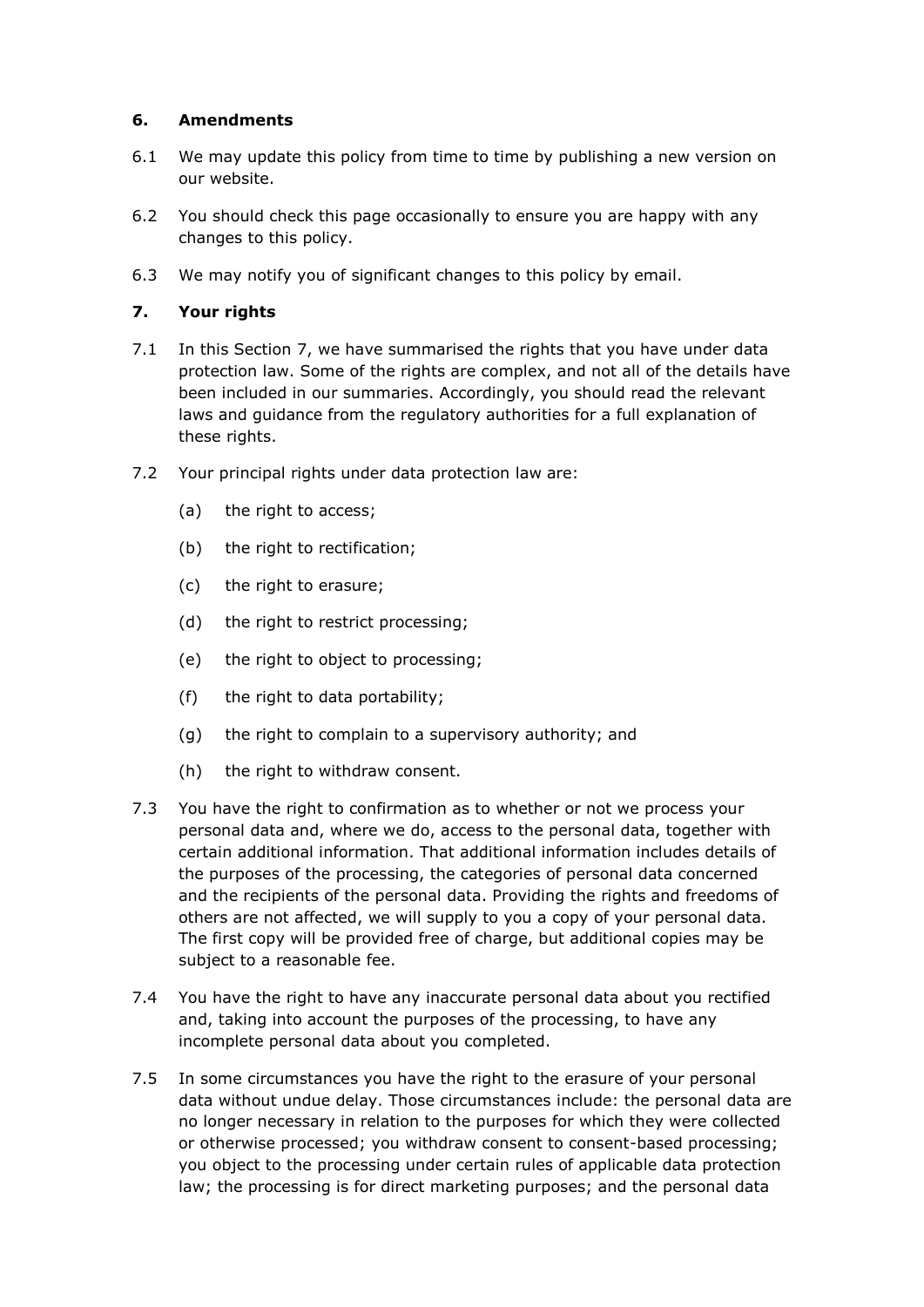# **6. Amendments**

- 6.1 We may update this policy from time to time by publishing a new version on our website.
- 6.2 You should check this page occasionally to ensure you are happy with any changes to this policy.
- 6.3 We may notify you of significant changes to this policy by email.

#### **7. Your rights**

- 7.1 In this Section 7, we have summarised the rights that you have under data protection law. Some of the rights are complex, and not all of the details have been included in our summaries. Accordingly, you should read the relevant laws and guidance from the regulatory authorities for a full explanation of these rights.
- 7.2 Your principal rights under data protection law are:
	- (a) the right to access;
	- (b) the right to rectification;
	- (c) the right to erasure;
	- (d) the right to restrict processing;
	- (e) the right to object to processing;
	- (f) the right to data portability;
	- (g) the right to complain to a supervisory authority; and
	- (h) the right to withdraw consent.
- 7.3 You have the right to confirmation as to whether or not we process your personal data and, where we do, access to the personal data, together with certain additional information. That additional information includes details of the purposes of the processing, the categories of personal data concerned and the recipients of the personal data. Providing the rights and freedoms of others are not affected, we will supply to you a copy of your personal data. The first copy will be provided free of charge, but additional copies may be subject to a reasonable fee.
- 7.4 You have the right to have any inaccurate personal data about you rectified and, taking into account the purposes of the processing, to have any incomplete personal data about you completed.
- 7.5 In some circumstances you have the right to the erasure of your personal data without undue delay. Those circumstances include: the personal data are no longer necessary in relation to the purposes for which they were collected or otherwise processed; you withdraw consent to consent-based processing; you object to the processing under certain rules of applicable data protection law; the processing is for direct marketing purposes; and the personal data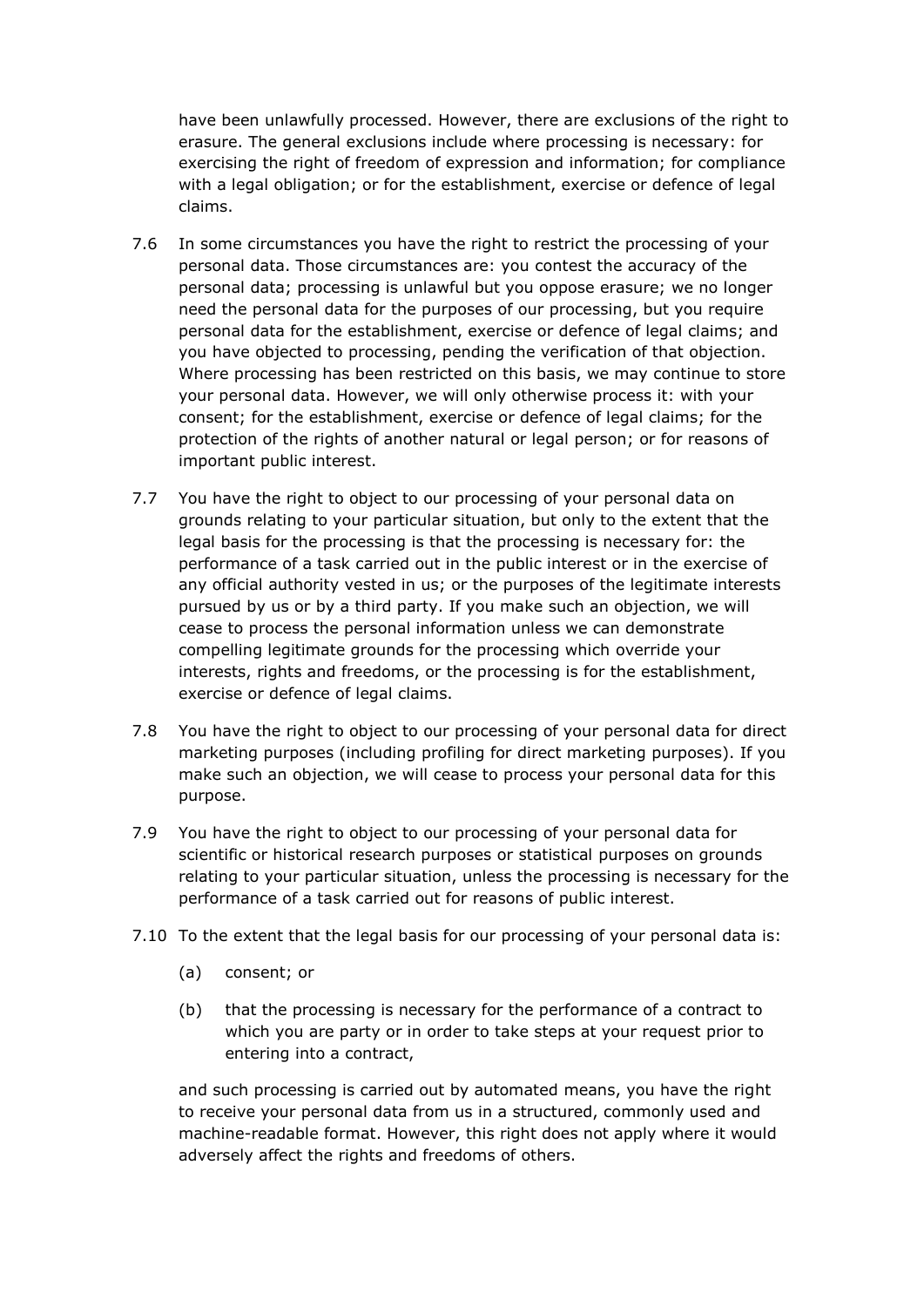have been unlawfully processed. However, there are exclusions of the right to erasure. The general exclusions include where processing is necessary: for exercising the right of freedom of expression and information; for compliance with a legal obligation; or for the establishment, exercise or defence of legal claims.

- 7.6 In some circumstances you have the right to restrict the processing of your personal data. Those circumstances are: you contest the accuracy of the personal data; processing is unlawful but you oppose erasure; we no longer need the personal data for the purposes of our processing, but you require personal data for the establishment, exercise or defence of legal claims; and you have objected to processing, pending the verification of that objection. Where processing has been restricted on this basis, we may continue to store your personal data. However, we will only otherwise process it: with your consent; for the establishment, exercise or defence of legal claims; for the protection of the rights of another natural or legal person; or for reasons of important public interest.
- 7.7 You have the right to object to our processing of your personal data on grounds relating to your particular situation, but only to the extent that the legal basis for the processing is that the processing is necessary for: the performance of a task carried out in the public interest or in the exercise of any official authority vested in us; or the purposes of the legitimate interests pursued by us or by a third party. If you make such an objection, we will cease to process the personal information unless we can demonstrate compelling legitimate grounds for the processing which override your interests, rights and freedoms, or the processing is for the establishment, exercise or defence of legal claims.
- 7.8 You have the right to object to our processing of your personal data for direct marketing purposes (including profiling for direct marketing purposes). If you make such an objection, we will cease to process your personal data for this purpose.
- 7.9 You have the right to object to our processing of your personal data for scientific or historical research purposes or statistical purposes on grounds relating to your particular situation, unless the processing is necessary for the performance of a task carried out for reasons of public interest.
- 7.10 To the extent that the legal basis for our processing of your personal data is:
	- (a) consent; or
	- (b) that the processing is necessary for the performance of a contract to which you are party or in order to take steps at your request prior to entering into a contract,

and such processing is carried out by automated means, you have the right to receive your personal data from us in a structured, commonly used and machine-readable format. However, this right does not apply where it would adversely affect the rights and freedoms of others.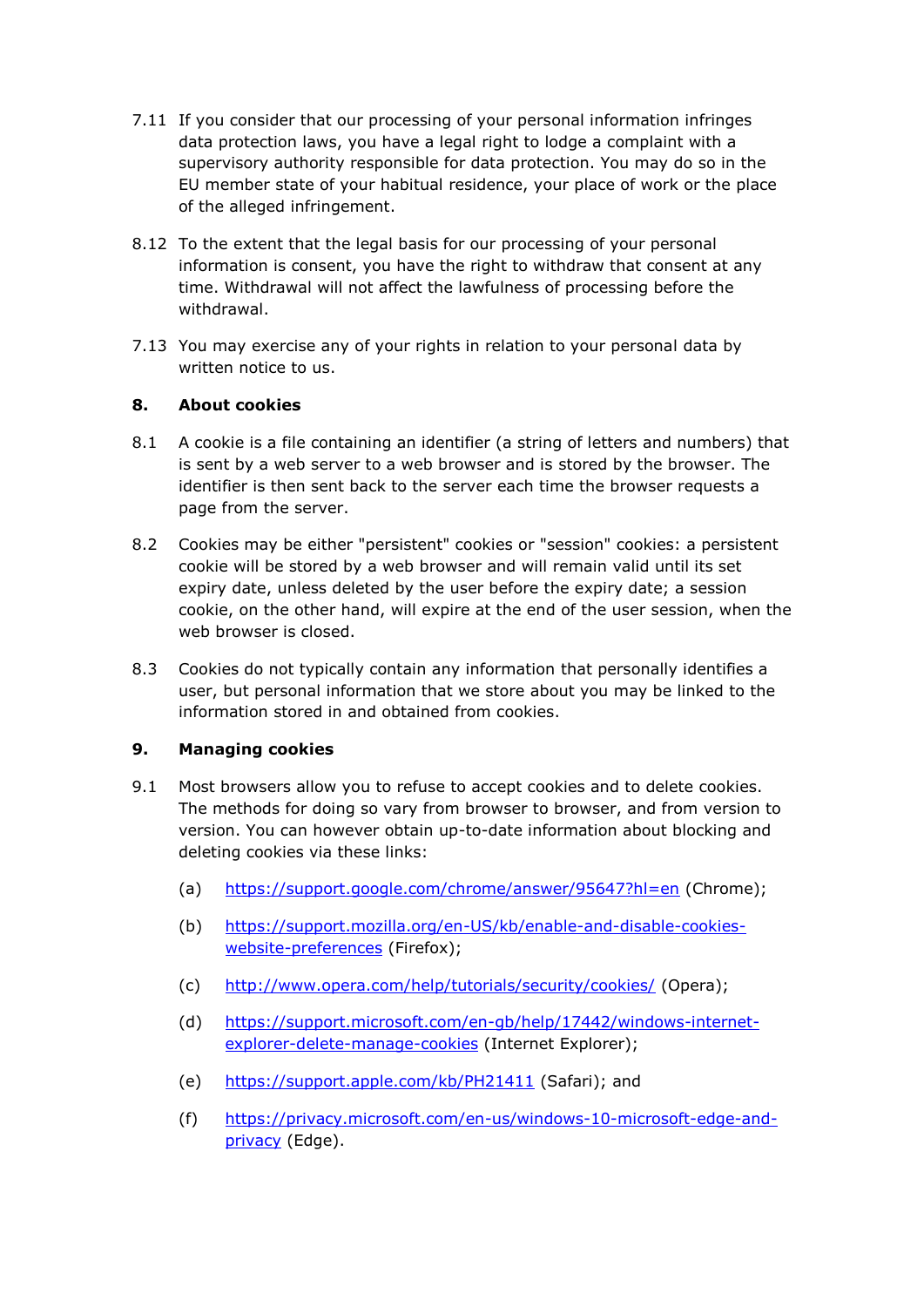- 7.11 If you consider that our processing of your personal information infringes data protection laws, you have a legal right to lodge a complaint with a supervisory authority responsible for data protection. You may do so in the EU member state of your habitual residence, your place of work or the place of the alleged infringement.
- 8.12 To the extent that the legal basis for our processing of your personal information is consent, you have the right to withdraw that consent at any time. Withdrawal will not affect the lawfulness of processing before the withdrawal.
- 7.13 You may exercise any of your rights in relation to your personal data by written notice to us.

# **8. About cookies**

- 8.1 A cookie is a file containing an identifier (a string of letters and numbers) that is sent by a web server to a web browser and is stored by the browser. The identifier is then sent back to the server each time the browser requests a page from the server.
- 8.2 Cookies may be either "persistent" cookies or "session" cookies: a persistent cookie will be stored by a web browser and will remain valid until its set expiry date, unless deleted by the user before the expiry date; a session cookie, on the other hand, will expire at the end of the user session, when the web browser is closed.
- 8.3 Cookies do not typically contain any information that personally identifies a user, but personal information that we store about you may be linked to the information stored in and obtained from cookies.

# **9. Managing cookies**

- 9.1 Most browsers allow you to refuse to accept cookies and to delete cookies. The methods for doing so vary from browser to browser, and from version to version. You can however obtain up-to-date information about blocking and deleting cookies via these links:
	- (a) <https://support.google.com/chrome/answer/95647?hl=en> (Chrome);
	- (b) [https://support.mozilla.org/en-US/kb/enable-and-disable-cookies](https://support.mozilla.org/en-US/kb/enable-and-disable-cookies-website-preferences)[website-preferences](https://support.mozilla.org/en-US/kb/enable-and-disable-cookies-website-preferences) (Firefox);
	- (c) <http://www.opera.com/help/tutorials/security/cookies/> (Opera);
	- (d) [https://support.microsoft.com/en-gb/help/17442/windows-internet](https://support.microsoft.com/en-gb/help/17442/windows-internet-explorer-delete-manage-cookies)[explorer-delete-manage-cookies](https://support.microsoft.com/en-gb/help/17442/windows-internet-explorer-delete-manage-cookies) (Internet Explorer);
	- (e) <https://support.apple.com/kb/PH21411> (Safari); and
	- (f) [https://privacy.microsoft.com/en-us/windows-10-microsoft-edge-and](https://privacy.microsoft.com/en-us/windows-10-microsoft-edge-and-privacy)[privacy](https://privacy.microsoft.com/en-us/windows-10-microsoft-edge-and-privacy) (Edge).